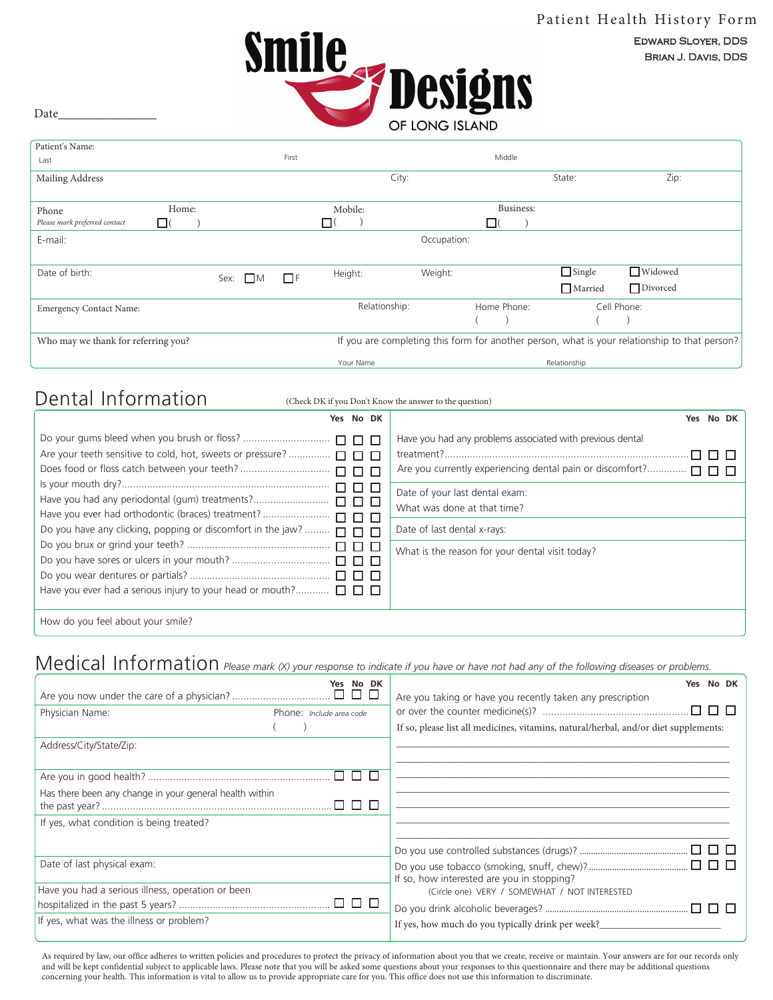BRIAN J. DAVIS, DDS EDWARD SLOYER, DDS



Date

| Patient's Name:                     |          |      |      |          |               |             |   |             |                |                                                                                               |
|-------------------------------------|----------|------|------|----------|---------------|-------------|---|-------------|----------------|-----------------------------------------------------------------------------------------------|
| Last                                |          |      |      | First    |               |             |   | Middle      |                |                                                                                               |
| Mailing Address                     |          |      |      |          | City:         |             |   |             | State:         | Zip:                                                                                          |
|                                     |          |      |      |          |               |             |   |             |                |                                                                                               |
| Phone                               | Home:    |      |      |          | Mobile:       |             |   | Business:   |                |                                                                                               |
| Please mark preferred contact       | $\Box$ ( |      |      |          | LI (          |             | □ |             |                |                                                                                               |
| E-mail:                             |          |      |      |          |               | Occupation: |   |             |                |                                                                                               |
|                                     |          |      |      |          |               |             |   |             |                |                                                                                               |
| Date of birth:                      |          | Sex: | I IM | $\Box$ F | Height:       | Weight:     |   |             | $\Box$ Single  | $\Box$ Widowed                                                                                |
|                                     |          |      |      |          |               |             |   |             | $\Box$ Married | □ Divorced                                                                                    |
| <b>Emergency Contact Name:</b>      |          |      |      |          | Relationship: |             |   | Home Phone: |                | Cell Phone:                                                                                   |
|                                     |          |      |      |          |               |             |   |             |                |                                                                                               |
| Who may we thank for referring you? |          |      |      |          |               |             |   |             |                | If you are completing this form for another person, what is your relationship to that person? |
|                                     |          |      |      |          | Your Name     |             |   |             | Relationship   |                                                                                               |

# Dental Information

(Check DK if you Don't Know the answer to the question)

| Yes No DK                                                                           | Yes No DK                                                 |
|-------------------------------------------------------------------------------------|-----------------------------------------------------------|
|                                                                                     | Have you had any problems associated with previous dental |
| Are your teeth sensitive to cold, hot, sweets or pressure?  [                       |                                                           |
|                                                                                     |                                                           |
| $\Box$ $\Box$                                                                       | Date of your last dental exam:                            |
| Have you had any periodontal (gum) treatments?<br>$\Box$ $\Box$ $\Box$              | What was done at that time?                               |
|                                                                                     |                                                           |
| Do you have any clicking, popping or discomfort in the jaw?<br>$\Box$ $\Box$ $\Box$ | Date of last dental x-rays:                               |
|                                                                                     | What is the reason for your dental visit today?           |
|                                                                                     |                                                           |
| Have you ever had a serious injury to your head or mouth? $\Box$ $\Box$ $\Box$      |                                                           |
|                                                                                     |                                                           |
| How do you feel about your smile?                                                   |                                                           |

## Medical Information *Please mark (X) your response to indicate if you have or have not had any of the following diseases or problems.*

|                                                         | Yes No DK                | Yes No DK<br>Are you taking or have you recently taken any prescription              |
|---------------------------------------------------------|--------------------------|--------------------------------------------------------------------------------------|
| Physician Name:                                         | Phone: Include area code | If so, please list all medicines, vitamins, natural/herbal, and/or diet supplements: |
| Address/City/State/Zip:                                 |                          |                                                                                      |
|                                                         | 000                      |                                                                                      |
| Has there been any change in your general health within | . 0 0 0                  |                                                                                      |
| If yes, what condition is being treated?                |                          |                                                                                      |
|                                                         |                          |                                                                                      |
| Date of last physical exam:                             |                          | If so, how interested are you in stopping?                                           |
| Have you had a serious illness, operation or been       |                          | (Circle one) VERY / SOMEWHAT / NOT INTERESTED                                        |
|                                                         |                          |                                                                                      |
| If yes, what was the illness or problem?                |                          | If yes, how much do you typically drink per week?                                    |

As required by law, our office adheres to written policies and procedures to protect the privacy of information about you that we create, receive or maintain. Your answers are for our records only and will be kept confidential subject to applicable laws. Please note that you will be asked some questions about your responses to this questionnaire and there may be additional questions concerning your health. This information is vital to allow us to provide appropriate care for you. This office does not use this information to discriminate.